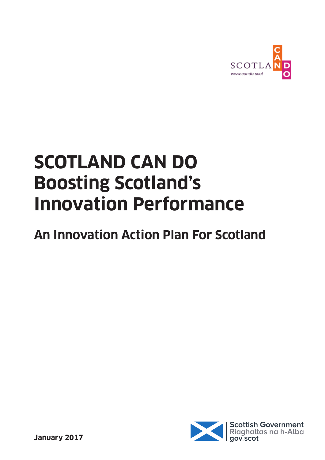

# **SCOTLAND CAN DO Boosting Scotland's Innovation Performance**

## **An Innovation Action Plan For Scotland**

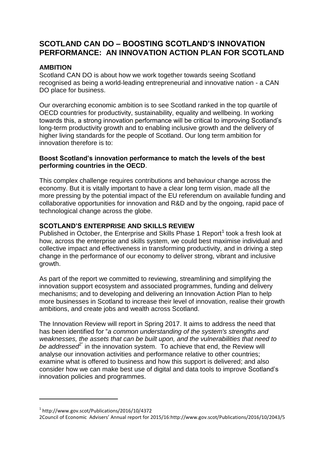#### **SCOTLAND CAN DO – BOOSTING SCOTLAND'S INNOVATION PERFORMANCE: AN INNOVATION ACTION PLAN FOR SCOTLAND**

#### **AMBITION**

Scotland CAN DO is about how we work together towards seeing Scotland recognised as being a world-leading entrepreneurial and innovative nation - a CAN DO place for business.

Our overarching economic ambition is to see Scotland ranked in the top quartile of OECD countries for productivity, sustainability, equality and wellbeing. In working towards this, a strong innovation performance will be critical to improving Scotland's long-term productivity growth and to enabling inclusive growth and the delivery of higher living standards for the people of Scotland. Our long term ambition for innovation therefore is to:

#### **Boost Scotland's innovation performance to match the levels of the best performing countries in the OECD**.

This complex challenge requires contributions and behaviour change across the economy. But it is vitally important to have a clear long term vision, made all the more pressing by the potential impact of the EU referendum on available funding and collaborative opportunities for innovation and R&D and by the ongoing, rapid pace of technological change across the globe.

#### **SCOTLAND'S ENTERPRISE AND SKILLS REVIEW**

Published in October, the Enterprise and Skills Phase 1 Report<sup>1</sup> took a fresh look at how, across the enterprise and skills system, we could best maximise individual and collective impact and effectiveness in transforming productivity, and in driving a step change in the performance of our economy to deliver strong, vibrant and inclusive growth.

As part of the report we committed to reviewing, streamlining and simplifying the innovation support ecosystem and associated programmes, funding and delivery mechanisms; and to developing and delivering an Innovation Action Plan to help more businesses in Scotland to increase their level of innovation, realise their growth ambitions, and create jobs and wealth across Scotland.

The Innovation Review will report in Spring 2017. It aims to address the need that has been identified for "*a common understanding of the system's strengths and weaknesses, the assets that can be built upon, and the vulnerabilities that need to*  be addressed<sup><sup>e</sup></sup> in the innovation system. To achieve that end, the Review will analyse our innovation activities and performance relative to other countries; examine what is offered to business and how this support is delivered; and also consider how we can make best use of digital and data tools to improve Scotland's innovation policies and programmes.

**.** 

<sup>1</sup> http://www.gov.scot/Publications/2016/10/4372

<sup>2</sup>Council of Economic Advisers' Annual report for 2015/16:http://www.gov.scot/Publications/2016/10/2043/5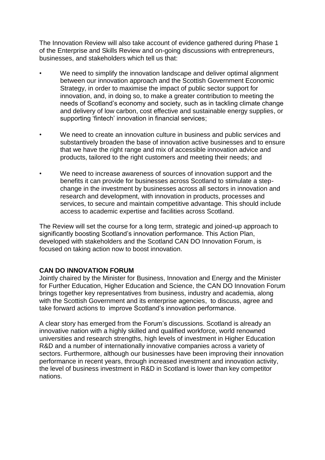The Innovation Review will also take account of evidence gathered during Phase 1 of the Enterprise and Skills Review and on-going discussions with entrepreneurs, businesses, and stakeholders which tell us that:

- We need to simplify the innovation landscape and deliver optimal alignment between our innovation approach and the Scottish Government Economic Strategy, in order to maximise the impact of public sector support for innovation, and, in doing so, to make a greater contribution to meeting the needs of Scotland's economy and society, such as in tackling climate change and delivery of low carbon, cost effective and sustainable energy supplies, or supporting 'fintech' innovation in financial services;
- We need to create an innovation culture in business and public services and substantively broaden the base of innovation active businesses and to ensure that we have the right range and mix of accessible innovation advice and products, tailored to the right customers and meeting their needs; and
- We need to increase awareness of sources of innovation support and the benefits it can provide for businesses across Scotland to stimulate a stepchange in the investment by businesses across all sectors in innovation and research and development, with innovation in products, processes and services, to secure and maintain competitive advantage. This should include access to academic expertise and facilities across Scotland.

The Review will set the course for a long term, strategic and joined-up approach to significantly boosting Scotland's innovation performance. This Action Plan, developed with stakeholders and the Scotland CAN DO Innovation Forum, is focused on taking action now to boost innovation.

#### **CAN DO INNOVATION FORUM**

Jointly chaired by the Minister for Business, Innovation and Energy and the Minister for Further Education, Higher Education and Science, the CAN DO Innovation Forum brings together key representatives from business, industry and academia, along with the Scottish Government and its enterprise agencies, to discuss, agree and take forward actions to improve Scotland's innovation performance.

A clear story has emerged from the Forum's discussions. Scotland is already an innovative nation with a highly skilled and qualified workforce, world renowned universities and research strengths, high levels of investment in Higher Education R&D and a number of internationally innovative companies across a variety of sectors. Furthermore, although our businesses have been improving their innovation performance in recent years, through increased investment and innovation activity, the level of business investment in R&D in Scotland is lower than key competitor nations.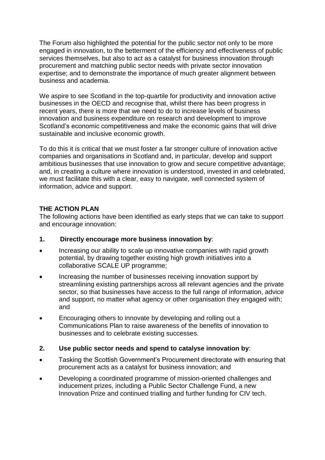The Forum also highlighted the potential for the public sector not only to be more engaged in innovation, to the betterment of the efficiency and effectiveness of public services themselves, but also to act as a catalyst for business innovation through procurement and matching public sector needs with private sector innovation expertise; and to demonstrate the importance of much greater alignment between business and academia.

We aspire to see Scotland in the top-quartile for productivity and innovation active businesses in the OECD and recognise that, whilst there has been progress in recent years, there is more that we need to do to increase levels of business innovation and business expenditure on research and development to improve Scotland's economic competitiveness and make the economic gains that will drive sustainable and inclusive economic growth.

To do this it is critical that we must foster a far stronger culture of innovation active companies and organisations in Scotland and, in particular, develop and support ambitious businesses that use innovation to grow and secure competitive advantage; and, in creating a culture where innovation is understood, invested in and celebrated, we must facilitate this with a clear, easy to navigate, well connected system of information, advice and support.

#### **THE ACTION PLAN**

The following actions have been identified as early steps that we can take to support and encourage innovation:

#### **1. Directly encourage more business innovation by**:

- Increasing our ability to scale up innovative companies with rapid growth potential, by drawing together existing high growth initiatives into a collaborative SCALE UP programme;
- Increasing the number of businesses receiving innovation support by streamlining existing partnerships across all relevant agencies and the private sector, so that businesses have access to the full range of information, advice and support, no matter what agency or other organisation they engaged with; and
- Encouraging others to innovate by developing and rolling out a Communications Plan to raise awareness of the benefits of innovation to businesses and to celebrate existing successes.

#### **2. Use public sector needs and spend to catalyse innovation by**:

- Tasking the Scottish Government's Procurement directorate with ensuring that procurement acts as a catalyst for business innovation; and
- Developing a coordinated programme of mission-oriented challenges and inducement prizes, including a Public Sector Challenge Fund, a new Innovation Prize and continued trialling and further funding for CIV tech.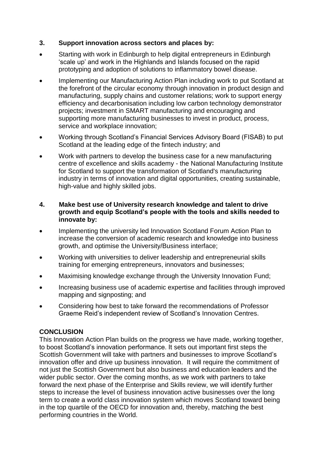#### **3. Support innovation across sectors and places by:**

- Starting with work in Edinburgh to help digital entrepreneurs in Edinburgh 'scale up' and work in the Highlands and Islands focused on the rapid prototyping and adoption of solutions to inflammatory bowel disease.
- Implementing our Manufacturing Action Plan including work to put Scotland at the forefront of the circular economy through innovation in product design and manufacturing, supply chains and customer relations; work to support energy efficiency and decarbonisation including low carbon technology demonstrator projects; investment in SMART manufacturing and encouraging and supporting more manufacturing businesses to invest in product, process, service and workplace innovation;
- Working through Scotland's Financial Services Advisory Board (FISAB) to put Scotland at the leading edge of the fintech industry; and
- Work with partners to develop the business case for a new manufacturing centre of excellence and skills academy - the National Manufacturing Institute for Scotland to support the transformation of Scotland's manufacturing industry in terms of innovation and digital opportunities, creating sustainable, high-value and highly skilled jobs.

#### **4. Make best use of University research knowledge and talent to drive growth and equip Scotland's people with the tools and skills needed to innovate by:**

- Implementing the university led Innovation Scotland Forum Action Plan to increase the conversion of academic research and knowledge into business growth, and optimise the University/Business interface;
- Working with universities to deliver leadership and entrepreneurial skills training for emerging entrepreneurs, innovators and businesses;
- Maximising knowledge exchange through the University Innovation Fund;
- Increasing business use of academic expertise and facilities through improved mapping and signposting; and
- Considering how best to take forward the recommendations of Professor Graeme Reid's independent review of Scotland's Innovation Centres.

#### **CONCLUSION**

This Innovation Action Plan builds on the progress we have made, working together, to boost Scotland's innovation performance. It sets out important first steps the Scottish Government will take with partners and businesses to improve Scotland's innovation offer and drive up business innovation. It will require the commitment of not just the Scottish Government but also business and education leaders and the wider public sector. Over the coming months, as we work with partners to take forward the next phase of the Enterprise and Skills review, we will identify further steps to increase the level of business innovation active businesses over the long term to create a world class innovation system which moves Scotland toward being in the top quartile of the OECD for innovation and, thereby, matching the best performing countries in the World.